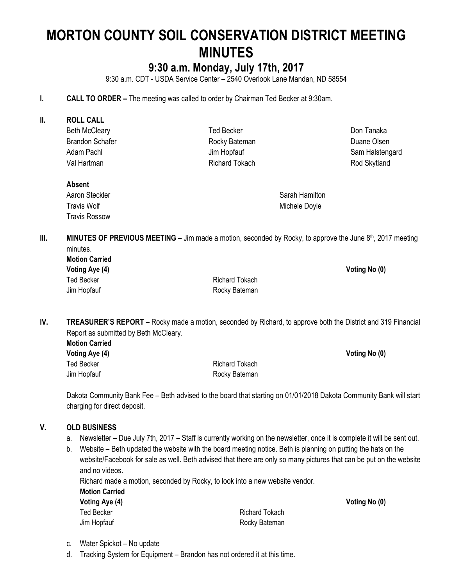# **MORTON COUNTY SOIL CONSERVATION DISTRICT MEETING MINUTES**

# **9:30 a.m. Monday, July 17th, 2017**

9:30 a.m. CDT - USDA Service Center – 2540 Overlook Lane Mandan, ND 58554

- **I. CALL TO ORDER –** The meeting was called to order by Chairman Ted Becker at 9:30am.
- **II. ROLL CALL** Beth McCleary Brandon Schafer Adam Pachl Val Hartman Ted Becker Rocky Bateman Jim Hopfauf Richard Tokach

Don Tanaka Duane Olsen Sam Halstengard Rod Skytland

**Voting Aye (4) Voting No (0)**

# **Absent**

Aaron Steckler Travis Wolf Travis Rossow

Sarah Hamilton Michele Doyle

**III. MINUTES OF PREVIOUS MEETING** – Jim made a motion, seconded by Rocky, to approve the June 8<sup>th</sup>, 2017 meeting minutes.

Richard Tokach Rocky Bateman

**IV. TREASURER'S REPORT –** Rocky made a motion, seconded by Richard, to approve both the District and 319 Financial Report as submitted by Beth McCleary.

**Motion Carried Voting Aye (4) Voting No (0)**

Ted Becker **Richard Tokach** Jim Hopfauf **Rocky Bateman** 

Dakota Community Bank Fee – Beth advised to the board that starting on 01/01/2018 Dakota Community Bank will start charging for direct deposit.

#### **V. OLD BUSINESS**

- a. Newsletter Due July 7th, 2017 Staff is currently working on the newsletter, once it is complete it will be sent out.
- b. Website Beth updated the website with the board meeting notice. Beth is planning on putting the hats on the website/Facebook for sale as well. Beth advised that there are only so many pictures that can be put on the website and no videos.

Richard made a motion, seconded by Rocky, to look into a new website vendor.

| <b>Motion Carried</b> |                |               |
|-----------------------|----------------|---------------|
| Voting Aye (4)        |                | Voting No (0) |
| Ted Becker            | Richard Tokach |               |
| Jim Hopfauf           | Rocky Bateman  |               |

c. Water Spickot – No update

d. Tracking System for Equipment – Brandon has not ordered it at this time.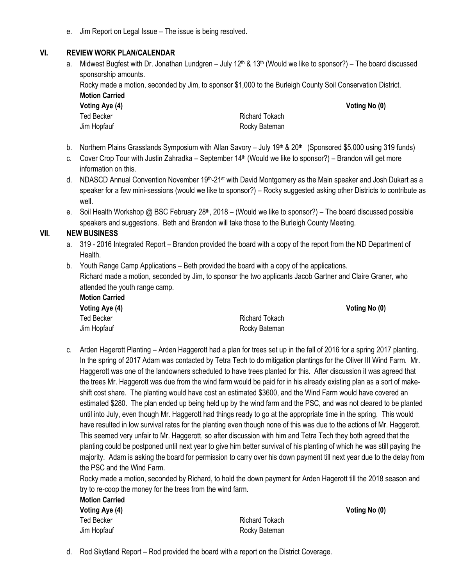e. Jim Report on Legal Issue – The issue is being resolved.

#### **VI. REVIEW WORK PLAN/CALENDAR**

a. Midwest Bugfest with Dr. Jonathan Lundgren – July  $12<sup>th</sup>$  &  $13<sup>th</sup>$  (Would we like to sponsor?) – The board discussed sponsorship amounts.

Rocky made a motion, seconded by Jim, to sponsor \$1,000 to the Burleigh County Soil Conservation District. **Motion Carried**

**Voting Aye (4) Voting No (0)** Ted Becker **Richard Tokach** Richard Tokach

Jim Hopfauf **Rocky Bateman** 

- b. Northern Plains Grasslands Symposium with Allan Savory July 19<sup>th</sup> & 20<sup>th</sup> (Sponsored \$5,000 using 319 funds)
- c. Cover Crop Tour with Justin Zahradka September 14<sup>th</sup> (Would we like to sponsor?) Brandon will get more information on this.
- d. NDASCD Annual Convention November 19<sup>th</sup>-21<sup>st</sup> with David Montgomery as the Main speaker and Josh Dukart as a speaker for a few mini-sessions (would we like to sponsor?) – Rocky suggested asking other Districts to contribute as well.
- e. Soil Health Workshop @ BSC February 28<sup>th</sup>, 2018 (Would we like to sponsor?) The board discussed possible speakers and suggestions. Beth and Brandon will take those to the Burleigh County Meeting.

#### **VII. NEW BUSINESS**

- a. 319 2016 Integrated Report Brandon provided the board with a copy of the report from the ND Department of Health.
- b. Youth Range Camp Applications Beth provided the board with a copy of the applications. Richard made a motion, seconded by Jim, to sponsor the two applicants Jacob Gartner and Claire Graner, who attended the youth range camp. **Motion Carried**

| wotion Carried |                |               |
|----------------|----------------|---------------|
| Voting Aye (4) |                | Voting No (0) |
| Ted Becker     | Richard Tokach |               |
| Jim Hopfauf    | Rocky Bateman  |               |

c. Arden Hagerott Planting – Arden Haggerott had a plan for trees set up in the fall of 2016 for a spring 2017 planting. In the spring of 2017 Adam was contacted by Tetra Tech to do mitigation plantings for the Oliver III Wind Farm. Mr. Haggerott was one of the landowners scheduled to have trees planted for this. After discussion it was agreed that the trees Mr. Haggerott was due from the wind farm would be paid for in his already existing plan as a sort of makeshift cost share. The planting would have cost an estimated \$3600, and the Wind Farm would have covered an estimated \$280. The plan ended up being held up by the wind farm and the PSC, and was not cleared to be planted until into July, even though Mr. Haggerott had things ready to go at the appropriate time in the spring. This would have resulted in low survival rates for the planting even though none of this was due to the actions of Mr. Haggerott. This seemed very unfair to Mr. Haggerott, so after discussion with him and Tetra Tech they both agreed that the planting could be postponed until next year to give him better survival of his planting of which he was still paying the majority. Adam is asking the board for permission to carry over his down payment till next year due to the delay from the PSC and the Wind Farm.

Rocky made a motion, seconded by Richard, to hold the down payment for Arden Hagerott till the 2018 season and try to re-coop the money for the trees from the wind farm.

| <b>Motion Carried</b> |
|-----------------------|
| Voting Aye (4)        |
| <b>Ted Becker</b>     |
| Jim Hopfauf           |

Richard Tokach Rocky Bateman **Voting No (0)** 

d. Rod Skytland Report – Rod provided the board with a report on the District Coverage.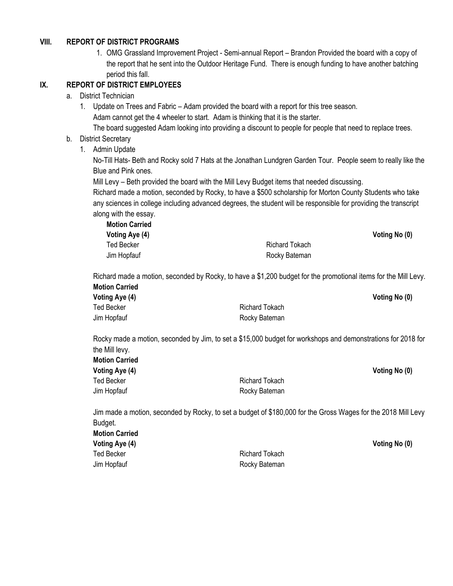#### **VIII. REPORT OF DISTRICT PROGRAMS**

1. OMG Grassland Improvement Project - Semi-annual Report – Brandon Provided the board with a copy of the report that he sent into the Outdoor Heritage Fund. There is enough funding to have another batching period this fall.

#### **IX. REPORT OF DISTRICT EMPLOYEES**

#### a. District Technician

1. Update on Trees and Fabric – Adam provided the board with a report for this tree season. Adam cannot get the 4 wheeler to start. Adam is thinking that it is the starter.

The board suggested Adam looking into providing a discount to people for people that need to replace trees.

#### b. District Secretary

1. Admin Update

No-Till Hats- Beth and Rocky sold 7 Hats at the Jonathan Lundgren Garden Tour. People seem to really like the Blue and Pink ones.

Mill Levy – Beth provided the board with the Mill Levy Budget items that needed discussing.

Richard made a motion, seconded by Rocky, to have a \$500 scholarship for Morton County Students who take any sciences in college including advanced degrees, the student will be responsible for providing the transcript along with the essay.

**Motion Carried Voting Aye (4) Voting No (0)** Ted Becker **Richard Tokach** Richard Tokach Jim Hopfauf **Rocky Bateman** 

Richard made a motion, seconded by Rocky, to have a \$1,200 budget for the promotional items for the Mill Levy. **Motion Carried Voting Aye (4) Voting No (0)** Ted Becker **Richard Tokach** Jim Hopfauf **Rocky Bateman** 

Rocky made a motion, seconded by Jim, to set a \$15,000 budget for workshops and demonstrations for 2018 for the Mill levy. **Motion Carried**

| Voting Aye (4) |                       |
|----------------|-----------------------|
| Ted Becker     | <b>Richard Tokach</b> |
| Jim Hopfauf    | Rocky Bateman         |

**Voting Aye (4) Voting No (0)**

Jim made a motion, seconded by Rocky, to set a budget of \$180,000 for the Gross Wages for the 2018 Mill Levy Budget.

| <b>Motion Carried</b> |                |
|-----------------------|----------------|
| Voting Aye (4)        |                |
| Ted Becker            | Richard Tokach |
| Jim Hopfauf           | Rocky Bateman  |

**Voting No (0)**